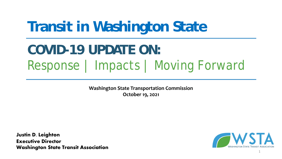# **Transit in Washington State**

# **COVID-19 UPDATE ON:** Response | Impacts | Moving Forward

**Washington State Transportation Commission October 19, 2021**

**Justin D. Leighton Executive Director Washington State Transit Association**



1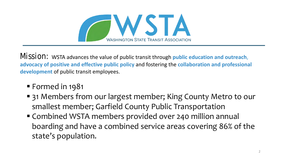

Mission: WSTA advances the value of public transit through **public education and outreach**, **advocacy of positive and effective public policy** and fostering the **collaboration and professional development** of public transit employees.

- § Formed in 1981
- 31 Members from our largest member; King County Metro to our smallest member; Garfield County Public Transportation
- Combined WSTA members provided over 240 million annual boarding and have a combined service areas covering 86% of the state's population.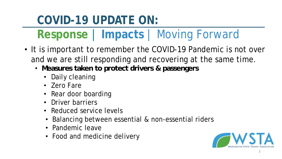- It is important to remember the COVID-19 Pandemic is not over and we are still responding and recovering at the same time.
	- **Measures taken to protect drivers & passengers**
		- Daily cleaning
		- Zero Fare
		- Rear door boarding
		- Driver barriers
		- Reduced service levels
		- Balancing between essential & non-essential riders
		- Pandemic leave
		- Food and medicine delivery

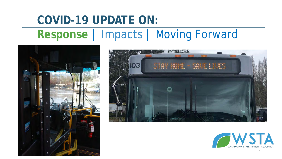## **COVID-19 UPDATE ON: Response** | Impacts | Moving Forward





![](_page_3_Picture_3.jpeg)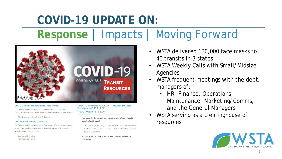# **Response** | Impacts | Moving Forward

![](_page_4_Picture_2.jpeg)

#### **CDC Guidelines for Reopening Mass Transit**

The Centers for Disease Control and Prevention (CDC) released coronavirus guidance for when agencies should increase or open service.

CDC Reopening Mass Transit Guidelines

#### **CDC Transit Cleaning Guidelines**

The Centers for Disease Control and Prevention (CDC) released a series of coronavirus guidance documents for transit agencies. The agency provided tailored resources for:

**Bus Transit Operators Rall Transit Operators** 

MRSC - Coronavirus (COVID-19) Resources for Local Governments CLICK HERE **WSDOT Update: 3.16.2020** 

- How does the Governor's ban on gatherings of more than 50 people affect transit?

> While we don't know yet, we've asked for the Governor's Office to clarify what the ban means for transit. We will share that response as soon as possible

- Is there extra flexibility in FTA federal funds to respond to COVID-19?

- WSTA delivered 130,000 face masks to 40 transits in 3 states
- WSTA Weekly Calls with Small/Midsize Agencies
- WSTA frequent meetings with the dept. managers of:
	- HR, Finance, Operations, Maintenance, Marketing/Comms, and the General Managers
- WSTA serving as a clearinghouse of resources

![](_page_4_Picture_18.jpeg)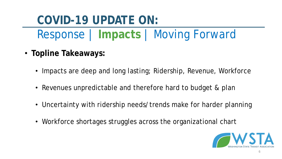- **Topline Takeaways:**
	- Impacts are deep and long lasting; Ridership, Revenue, Workforce
	- Revenues unpredictable and therefore hard to budget & plan
	- Uncertainty with ridership needs/trends make for harder planning
	- Workforce shortages struggles across the organizational chart

![](_page_5_Picture_7.jpeg)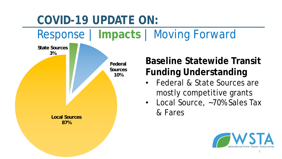**Baseline Statewide Transit Funding Understanding** • Federal & State Sources are mostly competitive grants • Local Source, ~70% Sales Tax & Fares **State Sources 3% Federal Sources 10% Local Sources 87% COVID-19 UPDATE ON:** Response | **Impacts** | Moving Forward

7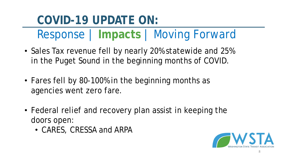- Sales Tax revenue fell by nearly 20% statewide and 25% in the Puget Sound in the beginning months of COVID.
- Fares fell by 80-100% in the beginning months as agencies went zero fare.
- Federal relief and recovery plan assist in keeping the doors open:
	- CARES, CRESSA and ARPA

![](_page_7_Picture_6.jpeg)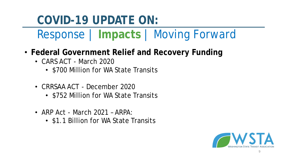- **Federal Government Relief and Recovery Funding**
	- CARS ACT March 2020
		- \$700 Million for WA State Transits
	- CRRSAA ACT December 2020
		- \$752 Million for WA State Transits
	- ARP Act March 2021 ARPA:
		- \$1.1 Billion for WA State Transits

![](_page_8_Picture_9.jpeg)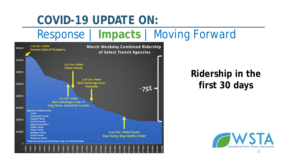### Response | **Impacts** | Moving Forward

![](_page_9_Figure_2.jpeg)

#### **Ridership in the first 30 days**

![](_page_9_Picture_4.jpeg)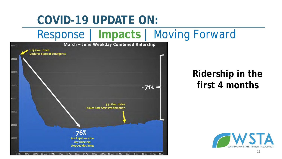## Response | **Impacts** | Moving Forward

![](_page_10_Figure_2.jpeg)

#### **Ridership in the first 4 months**

![](_page_10_Picture_4.jpeg)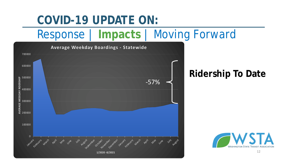## Response | **Impacts** | Moving Forward

![](_page_11_Figure_2.jpeg)

#### **Ridership To Date**

![](_page_11_Picture_4.jpeg)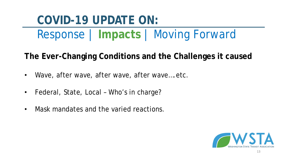Response | **Impacts** | Moving Forward

**The Ever-Changing Conditions and the Challenges it caused**

- Wave, after wave, after wave, after wave....etc.
- Federal, State, Local Who's in charge?
- Mask mandates and the varied reactions.

![](_page_12_Picture_6.jpeg)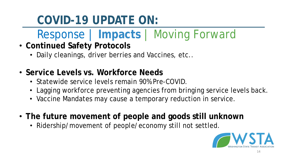- **Continued Safety Protocols**
	- Daily cleanings, driver berries and Vaccines, etc..
- **Service Levels vs. Workforce Needs**
	- Statewide service levels remain 90% Pre-COVID.
	- Lagging workforce preventing agencies from bringing service levels back.
	- Vaccine Mandates may cause a temporary reduction in service.
- **The future movement of people and goods still unknown**
	- Ridership/movement of people/economy still not settled.

![](_page_13_Picture_10.jpeg)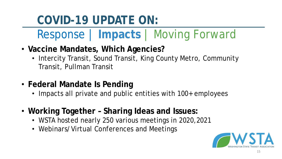- **Vaccine Mandates, Which Agencies?**
	- Intercity Transit, Sound Transit, King County Metro, Community Transit, Pullman Transit
- **Federal Mandate Is Pending**
	- Impacts all private and public entities with 100+ employees
- **Working Together – Sharing Ideas and Issues:**
	- WSTA hosted nearly 250 various meetings in 2020,2021
	- Webinars/Virtual Conferences and Meetings

![](_page_14_Picture_9.jpeg)